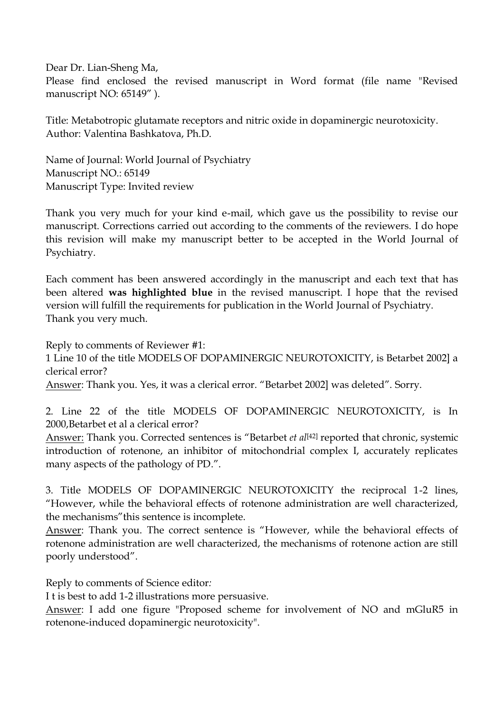Dear Dr. Lian-Sheng Ma, Please find enclosed the revised manuscript in Word format (file name "Revised manuscript NO: 65149" ).

Title: Metabotropic glutamate receptors and nitric oxide in dopaminergic neurotoxicity. Author: Valentina Bashkatova, Ph.D.

Name of Journal: World Journal of Psychiatry Manuscript NO.: 65149 Manuscript Type: Invited review

Thank you very much for your kind e-mail, which gave us the possibility to revise our manuscript. Corrections carried out according to the comments of the reviewers. I do hope this revision will make my manuscript better to be accepted in the World Journal of Psychiatry.

Each comment has been answered accordingly in the manuscript and each text that has been altered **was highlighted blue** in the revised manuscript. I hope that the revised version will fulfill the requirements for publication in the World Journal of Psychiatry. Thank you very much.

Reply to comments of Reviewer #1:

1 Line 10 of the title MODELS OF DOPAMINERGIC NEUROTOXICITY, is Betarbet 2002] a clerical error?

Answer: Thank you. Yes, it was a clerical error. "Betarbet 2002] was deleted". Sorry.

2. Line 22 of the title MODELS OF DOPAMINERGIC NEUROTOXICITY, is In 2000,Betarbet et al a clerical error?

Answer: Thank you. Corrected sentences is "Betarbet *et al*<sup>[42]</sup> reported that chronic, systemic introduction of rotenone, an inhibitor of mitochondrial complex I, accurately replicates many aspects of the pathology of PD.".

3. Title MODELS OF DOPAMINERGIC NEUROTOXICITY the reciprocal 1-2 lines, "However, while the behavioral effects of rotenone administration are well characterized, the mechanisms"this sentence is incomplete.

Answer: Thank you. The correct sentence is "However, while the behavioral effects of rotenone administration are well characterized, the mechanisms of rotenone action are still poorly understood".

Reply to comments of Science editor*:* 

I t is best to add 1-2 illustrations more persuasive.

Answer: I add one figure "Proposed scheme for involvement of NO and mGluR5 in rotenone-induced dopaminergic neurotoxicity".